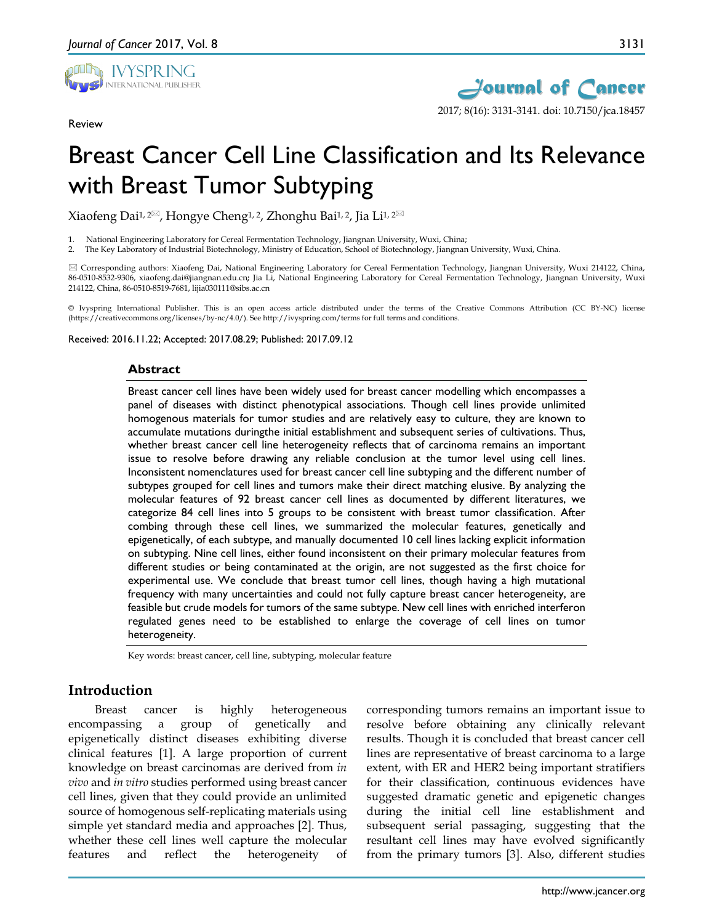

Review



# Breast Cancer Cell Line Classification and Its Relevance with Breast Tumor Subtyping

Xiaofeng Dai<sup>1, 2 $\boxtimes$ </sup>, Hongye Cheng<sup>1, 2</sup>, Zhonghu Bai<sup>1, 2</sup>, Jia Li<sup>1, 2 $\boxtimes$ </sup>

1. National Engineering Laboratory for Cereal Fermentation Technology, Jiangnan University, Wuxi, China;

2. The Key Laboratory of Industrial Biotechnology, Ministry of Education, School of Biotechnology, Jiangnan University, Wuxi, China.

 Corresponding authors: Xiaofeng Dai, National Engineering Laboratory for Cereal Fermentation Technology, Jiangnan University, Wuxi 214122, China, 86-0510-8532-9306, xiaofeng.dai@jiangnan.edu.cn**;** Jia Li, National Engineering Laboratory for Cereal Fermentation Technology, Jiangnan University, Wuxi 214122, China, 86-0510-8519-7681, lijia030111@sibs.ac.cn

© Ivyspring International Publisher. This is an open access article distributed under the terms of the Creative Commons Attribution (CC BY-NC) license (https://creativecommons.org/licenses/by-nc/4.0/). See http://ivyspring.com/terms for full terms and conditions.

Received: 2016.11.22; Accepted: 2017.08.29; Published: 2017.09.12

#### **Abstract**

Breast cancer cell lines have been widely used for breast cancer modelling which encompasses a panel of diseases with distinct phenotypical associations. Though cell lines provide unlimited homogenous materials for tumor studies and are relatively easy to culture, they are known to accumulate mutations duringthe initial establishment and subsequent series of cultivations. Thus, whether breast cancer cell line heterogeneity reflects that of carcinoma remains an important issue to resolve before drawing any reliable conclusion at the tumor level using cell lines. Inconsistent nomenclatures used for breast cancer cell line subtyping and the different number of subtypes grouped for cell lines and tumors make their direct matching elusive. By analyzing the molecular features of 92 breast cancer cell lines as documented by different literatures, we categorize 84 cell lines into 5 groups to be consistent with breast tumor classification. After combing through these cell lines, we summarized the molecular features, genetically and epigenetically, of each subtype, and manually documented 10 cell lines lacking explicit information on subtyping. Nine cell lines, either found inconsistent on their primary molecular features from different studies or being contaminated at the origin, are not suggested as the first choice for experimental use. We conclude that breast tumor cell lines, though having a high mutational frequency with many uncertainties and could not fully capture breast cancer heterogeneity, are feasible but crude models for tumors of the same subtype. New cell lines with enriched interferon regulated genes need to be established to enlarge the coverage of cell lines on tumor heterogeneity.

Key words: breast cancer, cell line, subtyping, molecular feature

## **Introduction**

Breast cancer is highly heterogeneous encompassing a group of genetically and epigenetically distinct diseases exhibiting diverse clinical features [1]. A large proportion of current knowledge on breast carcinomas are derived from *in vivo* and *in vitro* studies performed using breast cancer cell lines, given that they could provide an unlimited source of homogenous self-replicating materials using simple yet standard media and approaches [2]. Thus, whether these cell lines well capture the molecular features and reflect the heterogeneity of corresponding tumors remains an important issue to resolve before obtaining any clinically relevant results. Though it is concluded that breast cancer cell lines are representative of breast carcinoma to a large extent, with ER and HER2 being important stratifiers for their classification, continuous evidences have suggested dramatic genetic and epigenetic changes during the initial cell line establishment and subsequent serial passaging, suggesting that the resultant cell lines may have evolved significantly from the primary tumors [3]. Also, different studies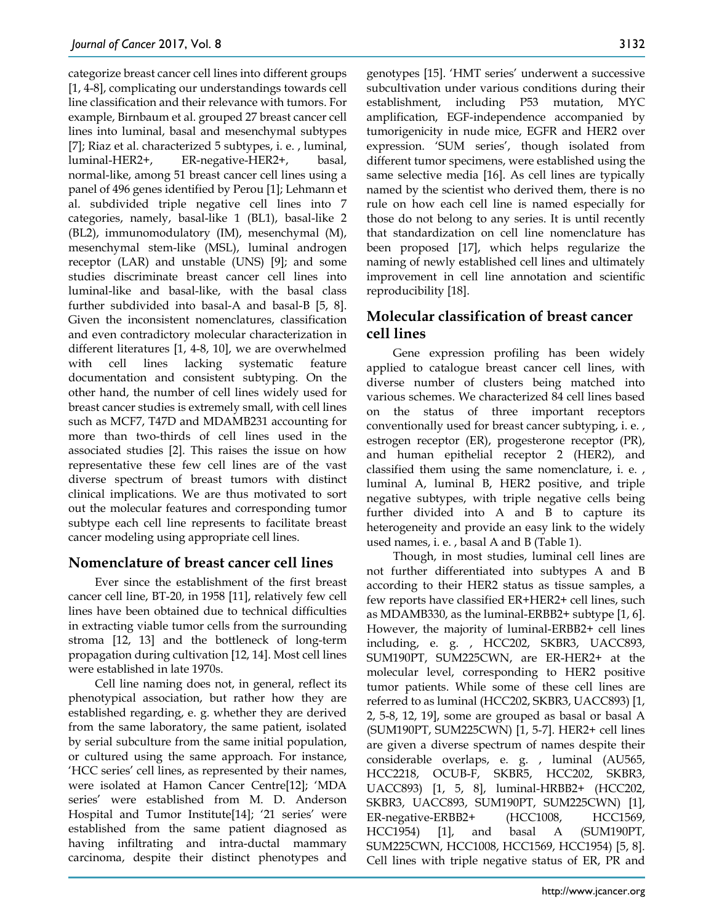categorize breast cancer cell lines into different groups [1, 4-8], complicating our understandings towards cell line classification and their relevance with tumors. For example, Birnbaum et al. grouped 27 breast cancer cell lines into luminal, basal and mesenchymal subtypes [7]; Riaz et al. characterized 5 subtypes, i. e. , luminal, luminal-HER2+, ER-negative-HER2+, basal, normal-like, among 51 breast cancer cell lines using a panel of 496 genes identified by Perou [1]; Lehmann et al. subdivided triple negative cell lines into 7 categories, namely, basal-like 1 (BL1), basal-like 2 (BL2), immunomodulatory (IM), mesenchymal (M), mesenchymal stem-like (MSL), luminal androgen receptor (LAR) and unstable (UNS) [9]; and some studies discriminate breast cancer cell lines into luminal-like and basal-like, with the basal class further subdivided into basal-A and basal-B [5, 8]. Given the inconsistent nomenclatures, classification and even contradictory molecular characterization in different literatures [1, 4-8, 10], we are overwhelmed with cell lines lacking systematic feature documentation and consistent subtyping. On the other hand, the number of cell lines widely used for breast cancer studies is extremely small, with cell lines such as MCF7, T47D and MDAMB231 accounting for more than two-thirds of cell lines used in the associated studies [2]. This raises the issue on how representative these few cell lines are of the vast diverse spectrum of breast tumors with distinct clinical implications. We are thus motivated to sort out the molecular features and corresponding tumor subtype each cell line represents to facilitate breast cancer modeling using appropriate cell lines.

## **Nomenclature of breast cancer cell lines**

Ever since the establishment of the first breast cancer cell line, BT-20, in 1958 [11], relatively few cell lines have been obtained due to technical difficulties in extracting viable tumor cells from the surrounding stroma [12, 13] and the bottleneck of long-term propagation during cultivation [12, 14]. Most cell lines were established in late 1970s.

Cell line naming does not, in general, reflect its phenotypical association, but rather how they are established regarding, e. g. whether they are derived from the same laboratory, the same patient, isolated by serial subculture from the same initial population, or cultured using the same approach. For instance, 'HCC series' cell lines, as represented by their names, were isolated at Hamon Cancer Centre[12]; 'MDA series' were established from M. D. Anderson Hospital and Tumor Institute[14]; '21 series' were established from the same patient diagnosed as having infiltrating and intra-ductal mammary carcinoma, despite their distinct phenotypes and

genotypes [15]. 'HMT series' underwent a successive subcultivation under various conditions during their establishment, including P53 mutation, MYC amplification, EGF-independence accompanied by tumorigenicity in nude mice, EGFR and HER2 over expression. 'SUM series', though isolated from different tumor specimens, were established using the same selective media [16]. As cell lines are typically named by the scientist who derived them, there is no rule on how each cell line is named especially for those do not belong to any series. It is until recently that standardization on cell line nomenclature has been proposed [17], which helps regularize the naming of newly established cell lines and ultimately improvement in cell line annotation and scientific reproducibility [18].

# **Molecular classification of breast cancer cell lines**

Gene expression profiling has been widely applied to catalogue breast cancer cell lines, with diverse number of clusters being matched into various schemes. We characterized 84 cell lines based on the status of three important receptors conventionally used for breast cancer subtyping, i. e. , estrogen receptor (ER), progesterone receptor (PR), and human epithelial receptor 2 (HER2), and classified them using the same nomenclature, i. e. , luminal A, luminal B, HER2 positive, and triple negative subtypes, with triple negative cells being further divided into A and B to capture its heterogeneity and provide an easy link to the widely used names, i. e. , basal A and B (Table 1).

Though, in most studies, luminal cell lines are not further differentiated into subtypes A and B according to their HER2 status as tissue samples, a few reports have classified ER+HER2+ cell lines, such as MDAMB330, as the luminal-ERBB2+ subtype [1, 6]. However, the majority of luminal-ERBB2+ cell lines including, e. g. , HCC202, SKBR3, UACC893, SUM190PT, SUM225CWN, are ER-HER2+ at the molecular level, corresponding to HER2 positive tumor patients. While some of these cell lines are referred to as luminal (HCC202, SKBR3, UACC893) [1, 2, 5-8, 12, 19], some are grouped as basal or basal A (SUM190PT, SUM225CWN) [1, 5-7]. HER2+ cell lines are given a diverse spectrum of names despite their considerable overlaps, e. g. , luminal (AU565, HCC2218, OCUB-F, SKBR5, HCC202, SKBR3, UACC893) [1, 5, 8], luminal-HRBB2+ (HCC202, SKBR3, UACC893, SUM190PT, SUM225CWN) [1], ER-negative-ERBB2+ (HCC1008, HCC1569, HCC1954) [1], and basal A (SUM190PT, SUM225CWN, HCC1008, HCC1569, HCC1954) [5, 8]. Cell lines with triple negative status of ER, PR and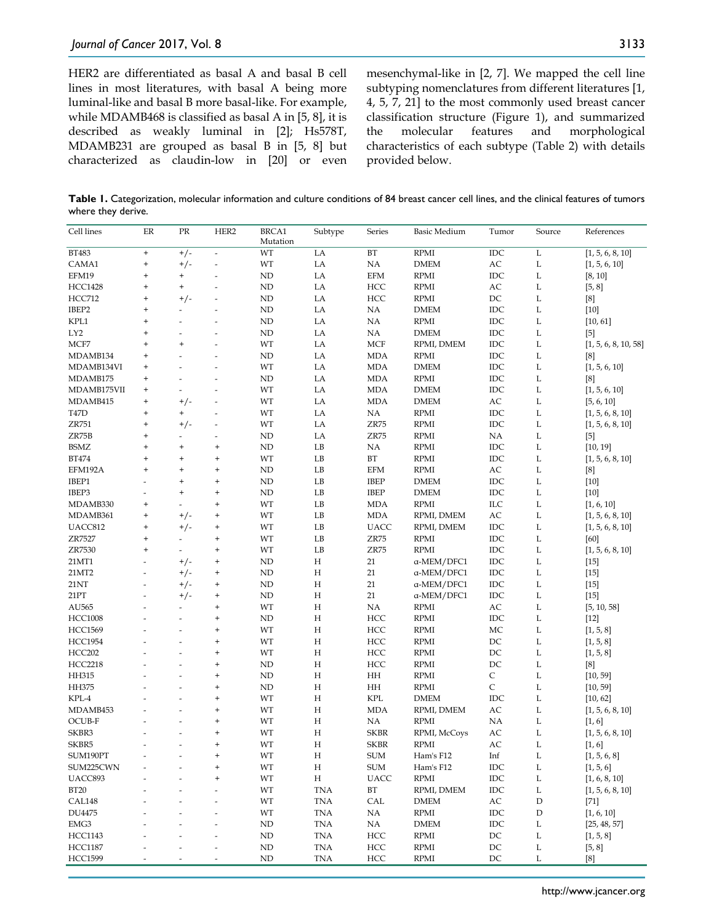HER2 are differentiated as basal A and basal B cell lines in most literatures, with basal A being more luminal-like and basal B more basal-like. For example, while MDAMB468 is classified as basal A in [5, 8], it is described as weakly luminal in [2]; Hs578T, MDAMB231 are grouped as basal B in [5, 8] but characterized as claudin-low in [20] or even mesenchymal-like in [2, 7]. We mapped the cell line subtyping nomenclatures from different literatures [1, 4, 5, 7, 21] to the most commonly used breast cancer classification structure (Figure 1), and summarized the molecular features and morphological characteristics of each subtype (Table 2) with details provided below.

**Table 1.** Categorization, molecular information and culture conditions of 84 breast cancer cell lines, and the clinical features of tumors where they derive.

| Cell lines        | ER             | PR                               | HER2                     | BRCA1<br>Mutation | Subtype                   | Series                      | <b>Basic Medium</b> | Tumor         | Source      | References           |
|-------------------|----------------|----------------------------------|--------------------------|-------------------|---------------------------|-----------------------------|---------------------|---------------|-------------|----------------------|
| <b>BT483</b>      | $+$            | $+/-$                            | $\overline{\phantom{a}}$ | WT                | LA                        | BT                          | <b>RPMI</b>         | $\rm{IDC}$    | L           | [1, 5, 6, 8, 10]     |
| CAMA1             | $\ddot{}$      | $+/-$                            | ÷,                       | WT                | LA                        | NA                          | <b>DMEM</b>         | $\mathbf{AC}$ | L           | [1, 5, 6, 10]        |
| EFM19             | $\ddot{}$      | $+$                              | ÷,                       | ND                | LA                        | <b>EFM</b>                  | <b>RPMI</b>         | IDC           | $\mathbf L$ | [8, 10]              |
| <b>HCC1428</b>    | $\ddot{}$      | $\ddot{}$                        | $\overline{\phantom{a}}$ | ND                | LA                        | HCC                         | <b>RPMI</b>         | AC            | L           | [5, 8]               |
| <b>HCC712</b>     | $\ddot{}$      | $+/-$                            |                          | ND                | LA                        | HCC                         | <b>RPMI</b>         | $\rm DC$      | $\mathbf L$ | [8]                  |
| IBEP2             | $\ddot{}$      |                                  | $\overline{\phantom{a}}$ | ND                | LA                        | NA                          | <b>DMEM</b>         | IDC           | L           | $[10]$               |
| KPL1              | $\ddot{}$      | $\overline{a}$                   | $\overline{\phantom{a}}$ | ND                | LA                        | NA                          | <b>RPMI</b>         | IDC           | L           | [10, 61]             |
| LY <sub>2</sub>   | $\ddot{}$      |                                  |                          | ND                | LA                        | NA                          | <b>DMEM</b>         | IDC           | $\mathbf L$ | $[5]$                |
| MCF7              | $\ddot{}$      | $\ddot{}$                        | ÷.                       | WT                | LA                        | MCF                         | RPMI, DMEM          | IDC           | L           | [1, 5, 6, 8, 10, 58] |
| MDAMB134          | $\ddot{}$      |                                  |                          | $\mbox{\sc ND}$   | LA                        | <b>MDA</b>                  | <b>RPMI</b>         | <b>IDC</b>    | $\mathbf L$ | [8]                  |
| MDAMB134VI        | $\ddot{}$      |                                  | $\overline{\phantom{a}}$ | WT                | LA                        | <b>MDA</b>                  | <b>DMEM</b>         | IDC           | $\mathbf L$ | [1, 5, 6, 10]        |
| MDAMB175          | $\ddot{}$      |                                  | L,                       | ND                | LA                        | <b>MDA</b>                  | <b>RPMI</b>         | IDC           | L           | [8]                  |
| MDAMB175VII       | $\ddot{}$      |                                  | L,                       | WT                | LA                        | <b>MDA</b>                  | <b>DMEM</b>         | IDC           | L           | [1, 5, 6, 10]        |
| MDAMB415          | $\ddot{}$      | $+/-$                            | $\overline{\phantom{a}}$ | WT                | LA                        | <b>MDA</b>                  | <b>DMEM</b>         | AC            | $\mathbf L$ | [5, 6, 10]           |
| T <sub>47</sub> D | $\ddot{}$      | $+$                              | $\overline{\phantom{a}}$ | WT                | LA                        | ΝA                          | <b>RPMI</b>         | IDC           | L           | [1, 5, 6, 8, 10]     |
| ZR751             | $\ddot{}$      | $+/-$                            | ÷,                       | WT                | LA                        | ZR75                        | <b>RPMI</b>         | $IDC$         | $\mathbf L$ | [1, 5, 6, 8, 10]     |
| ZR75B             | $\ddot{}$      | ä,                               | $\overline{a}$           | ND                | LA                        | ZR75                        | <b>RPMI</b>         | NA            | L           | $[5]$                |
| <b>BSMZ</b>       | $\ddot{}$      | $\ddot{}$                        | $\ddot{}$                | ND                | LB                        | NA                          | <b>RPMI</b>         | IDC           | L           | [10, 19]             |
| <b>BT474</b>      | $\ddot{}$      | $\ddot{}$                        | $\ddot{}$                | WT                | LB                        | ВT                          | <b>RPMI</b>         | IDC           | L           | [1, 5, 6, 8, 10]     |
| EFM192A           | $\ddot{}$      | $\ddot{}$                        | $\ddot{}$                | ND                | LB                        | EFM                         | <b>RPMI</b>         | AC            | L           | [8]                  |
| IBEP1             |                | $\ddot{}$                        | $\ddot{}$                | ND                | LB                        | <b>IBEP</b>                 | <b>DMEM</b>         | IDC           | L           | $[10]$               |
| IBEP3             | $\overline{a}$ | $\begin{array}{c} + \end{array}$ | $\ddot{}$                | ND                | LB                        | <b>IBEP</b>                 | <b>DMEM</b>         | IDC           | $\mathbf L$ | $[10]$               |
| MDAMB330          | $\ddot{}$      |                                  | $\ddot{}$                | WT                | LB                        | <b>MDA</b>                  | <b>RPMI</b>         | ILC           | L           | [1, 6, 10]           |
| MDAMB361          | $\ddot{}$      | $+/-$                            | $\ddot{}$                | WT                | LB                        | <b>MDA</b>                  | RPMI, DMEM          | AC            | $\mathbf L$ | [1, 5, 6, 8, 10]     |
| UACC812           | $\ddot{}$      | $+/-$                            | $\ddot{}$                | WT                | LB                        | <b>UACC</b>                 | RPMI, DMEM          | IDC           | L           | [1, 5, 6, 8, 10]     |
| ZR7527            | $\ddot{}$      | $\sim$                           | $\ddot{}$                | WT                | LB                        | ZR75                        | <b>RPMI</b>         | IDC           | L           | [60]                 |
| ZR7530            | $\ddot{}$      |                                  | $\ddot{}$                | WT                | LB                        | <b>ZR75</b>                 | <b>RPMI</b>         | <b>IDC</b>    | L           | [1, 5, 6, 8, 10]     |
| 21MT1             | $\overline{a}$ | $+/-$                            | $\ddot{}$                | ND                | H                         | 21                          | α-MEM/DFC1          | IDC           | $\mathbf L$ | $[15]$               |
| 21MT2             |                | $+/-$                            | $^{+}$                   | ND                | H                         | 21                          | α-MEM/DFC1          | IDC           | L           | $[15]$               |
| 21NT              | L,             | $+/-$                            | $\qquad \qquad +$        | ND                | H                         | 21                          | $\alpha$ -MEM/DFC1  | <b>IDC</b>    | L           | $[15]$               |
| 21PT              | $\overline{a}$ | $+/-$                            | $\ddot{}$                | ND                | H                         | 21                          | a-MEM/DFC1          | IDC           | L           | $[15]$               |
| AU565             |                | ÷.                               | $\ddot{}$                | WT                | H                         | NA                          | RPMI                | AC            | L           | [5, 10, 58]          |
| <b>HCC1008</b>    |                | ÷                                | $^{+}$                   | ND                | H                         | HCC                         | <b>RPMI</b>         | IDC           | $\mathbf L$ | $[12]$               |
| <b>HCC1569</b>    |                | $\sim$                           | $\ddot{}$                | WT                | H                         | HCC                         | <b>RPMI</b>         | MC            | L           | [1, 5, 8]            |
| <b>HCC1954</b>    |                |                                  | $\ddot{}$                | WT                | H                         | HCC                         | <b>RPMI</b>         | DC            | $\mathbf L$ | [1, 5, 8]            |
| <b>HCC202</b>     |                |                                  | $\ddot{}$                | WT                | H                         | HCC                         | <b>RPMI</b>         | DC            | $\mathbf L$ | [1, 5, 8]            |
| <b>HCC2218</b>    |                | $\sim$                           | $^{+}$                   | ND                | H                         | HCC                         | <b>RPMI</b>         | $\rm DC$      | $\mathbf L$ | [8]                  |
| HH315             |                |                                  | $\ddot{}$                | ND                | H                         | HH                          | <b>RPMI</b>         | $\mathsf C$   | $\mathbf L$ | [10, 59]             |
| HH375             |                | $\overline{a}$                   | $\ddot{}$                | ND                | H                         | HH                          | <b>RPMI</b>         | $\mathsf C$   | $\mathbf L$ | [10, 59]             |
| KPL-4             |                |                                  | $\ddot{}$                | WT                | H                         | KPL                         | <b>DMEM</b>         | IDC           | L           | [10, 62]             |
| MDAMB453          |                | $\overline{a}$                   | $\ddot{}$                | WT                | H                         | <b>MDA</b>                  | RPMI, DMEM          | AC            | $\mathbf L$ | [1, 5, 6, 8, 10]     |
| OCUB-F            |                | $\sim$                           | $\ddot{}$                | WT                | H                         | NA                          | <b>RPMI</b>         | NA            | L           | [1, 6]               |
| SKBR3             |                |                                  | $^{+}$                   | WT                | H                         | <b>SKBR</b>                 | RPMI, McCoys        | AC            | L           | [1, 5, 6, 8, 10]     |
| SKBR5             |                |                                  | $+$                      | WT                | $\boldsymbol{\mathrm{H}}$ | ${\rm SKBR}$                | RPMI                | AC            | L           | [1, 6]               |
| SUM190PT          |                |                                  | $\ddot{}$                | WT                | Н                         | <b>SUM</b>                  | Ham's F12           | Inf           | L           | [1, 5, 6, 8]         |
| SUM225CWN         |                |                                  | $^{+}$                   | WT                | Н                         | $\ensuremath{\mathrm{SUM}}$ | Ham's F12           | IDC           | L           | [1, 5, 6]            |
| UACC893           |                |                                  | $^{+}$                   | WT                | $\rm H$                   | <b>UACC</b>                 | RPMI                | IDC           | L           | [1, 6, 8, 10]        |
| <b>BT20</b>       |                |                                  | ÷,                       | WT                | <b>TNA</b>                | ВT                          | RPMI, DMEM          | IDC           | L           | [1, 5, 6, 8, 10]     |
| CAL148            |                |                                  |                          | WT                | <b>TNA</b>                | CAL                         | <b>DMEM</b>         | AC            | D           | $[71]$               |
| DU4475            |                |                                  | $\sim$                   | WT                | <b>TNA</b>                | NA                          | RPMI                | IDC           | D           | [1, 6, 10]           |
| EMG3              |                |                                  |                          | ND                | <b>TNA</b>                | NA                          | <b>DMEM</b>         | $IDC$         | L           | [25, 48, 57]         |
| <b>HCC1143</b>    |                |                                  | $\overline{\phantom{a}}$ | $\mbox{ND}$       | <b>TNA</b>                | HCC                         | RPMI                | DC            | $\mathbf L$ | [1, 5, 8]            |
| HCC1187           |                |                                  | L                        | ND                | TNA                       | HCC                         | RPMI                | DC            | L           | [5, 8]               |
| <b>HCC1599</b>    |                |                                  |                          | ND                | TNA                       | $\rm HCC$                   | <b>RPMI</b>         | DC            | L           | [8]                  |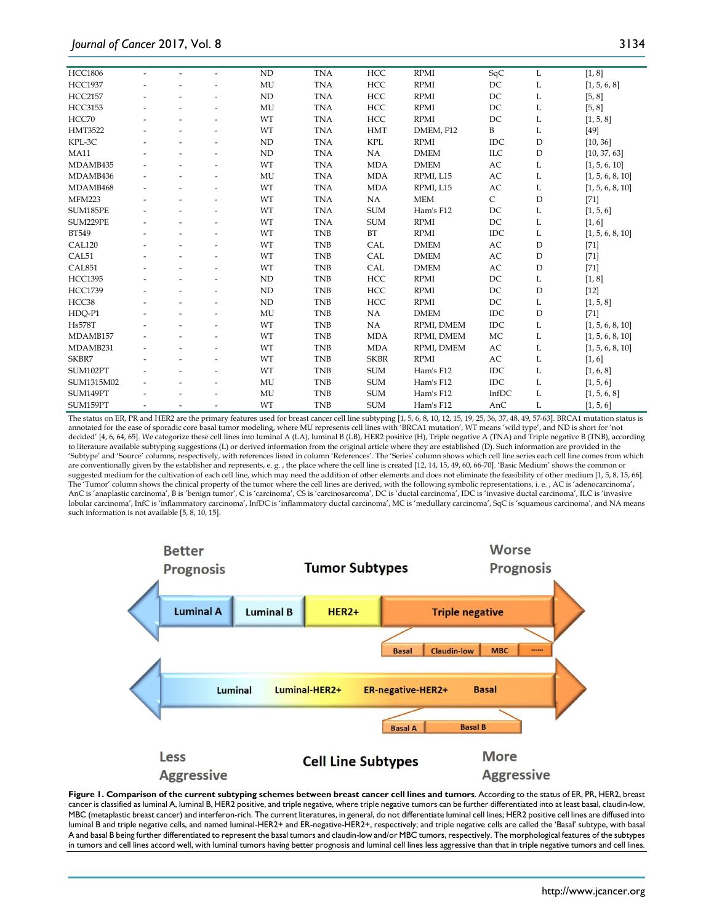| <b>HCC1806</b> |                          |                | <b>ND</b> | <b>TNA</b> | HCC                       | <b>RPMI</b> | SqC        | L           | [1, 8]           |
|----------------|--------------------------|----------------|-----------|------------|---------------------------|-------------|------------|-------------|------------------|
| <b>HCC1937</b> |                          |                | MU        | <b>TNA</b> | HCC                       | <b>RPMI</b> | DC         | L           | [1, 5, 6, 8]     |
| <b>HCC2157</b> |                          |                | <b>ND</b> | <b>TNA</b> | HCC                       | <b>RPMI</b> | DC         | L           | [5, 8]           |
| HCC3153        |                          |                | MU        | <b>TNA</b> | HCC                       | <b>RPMI</b> | DC         | L           | [5, 8]           |
| HCC70          |                          |                | <b>WT</b> | <b>TNA</b> | HCC                       | <b>RPMI</b> | DC         | L           | [1, 5, 8]        |
| <b>HMT3522</b> |                          | $\overline{a}$ | WT        | <b>TNA</b> | <b>HMT</b>                | DMEM, F12   | B          | L           | $[49]$           |
| KPL-3C         |                          |                | <b>ND</b> | <b>TNA</b> | $\ensuremath{\text{KPL}}$ | <b>RPMI</b> | <b>IDC</b> | D           | [10, 36]         |
| <b>MA11</b>    |                          |                | <b>ND</b> | <b>TNA</b> | NA                        | <b>DMEM</b> | <b>ILC</b> | $\mathbf D$ | [10, 37, 63]     |
| MDAMB435       |                          |                | WT        | <b>TNA</b> | <b>MDA</b>                | <b>DMEM</b> | AC         | L           | [1, 5, 6, 10]    |
| MDAMB436       |                          |                | MU        | <b>TNA</b> | <b>MDA</b>                | RPMI, L15   | AC         | L           | [1, 5, 6, 8, 10] |
| MDAMB468       |                          |                | WT        | <b>TNA</b> | <b>MDA</b>                | RPMI, L15   | AC         | L           | [1, 5, 6, 8, 10] |
| <b>MFM223</b>  |                          |                | WT        | <b>TNA</b> | NA                        | <b>MEM</b>  | C          | D           | $[71]$           |
| SUM185PE       |                          |                | WT        | <b>TNA</b> | <b>SUM</b>                | Ham's F12   | DC         | L           | [1, 5, 6]        |
| SUM229PE       |                          |                | WT        | <b>TNA</b> | <b>SUM</b>                | <b>RPMI</b> | DC         | L           | [1, 6]           |
| <b>BT549</b>   |                          |                | WT        | <b>TNB</b> | BT                        | <b>RPMI</b> | <b>IDC</b> | L           | [1, 5, 6, 8, 10] |
| <b>CAL120</b>  |                          |                | WT        | <b>TNB</b> | CAL                       | <b>DMEM</b> | AC         | D           | $[71]$           |
| CAL51          |                          |                | <b>WT</b> | <b>TNB</b> | CAL                       | <b>DMEM</b> | AC         | D           | $[71]$           |
| <b>CAL851</b>  |                          |                | <b>WT</b> | <b>TNB</b> | CAL                       | <b>DMEM</b> | AC         | D           | $[71]$           |
| <b>HCC1395</b> |                          |                | <b>ND</b> | <b>TNB</b> | HCC                       | <b>RPMI</b> | DC         | L           | [1, 8]           |
| <b>HCC1739</b> |                          |                | <b>ND</b> | <b>TNB</b> | HCC                       | <b>RPMI</b> | DC         | D           | $[12]$           |
| HCC38          |                          |                | <b>ND</b> | <b>TNB</b> | HCC                       | <b>RPMI</b> | DC         | L           | [1, 5, 8]        |
| HDQ-P1         |                          |                | MU        | <b>TNB</b> | NA                        | <b>DMEM</b> | <b>IDC</b> | D           | $[71]$           |
| <b>Hs578T</b>  |                          |                | WT        | <b>TNB</b> | NA                        | RPMI, DMEM  | IDC        | L           | [1, 5, 6, 8, 10] |
| MDAMB157       |                          |                | WT        | <b>TNB</b> | <b>MDA</b>                | RPMI, DMEM  | MC         | L           | [1, 5, 6, 8, 10] |
| MDAMB231       |                          |                | WT        | <b>TNB</b> | <b>MDA</b>                | RPMI, DMEM  | AC         | Г           | [1, 5, 6, 8, 10] |
| SKBR7          |                          |                | WT        | <b>TNB</b> | <b>SKBR</b>               | <b>RPMI</b> | AC         | L           | [1, 6]           |
| SUM102PT       |                          |                | <b>WT</b> | <b>TNB</b> | <b>SUM</b>                | Ham's F12   | <b>IDC</b> | L           | [1, 6, 8]        |
| SUM1315M02     |                          |                | MU        | <b>TNB</b> | <b>SUM</b>                | Ham's F12   | <b>IDC</b> | L           | [1, 5, 6]        |
| SUM149PT       |                          |                | MU        | <b>TNB</b> | <b>SUM</b>                | Ham's F12   | InfDC      | L           | [1, 5, 6, 8]     |
| SUM159PT       | $\overline{\phantom{a}}$ |                | <b>WT</b> | <b>TNB</b> | <b>SUM</b>                | Ham's F12   | AnC        | L           | [1, 5, 6]        |

The status on ER, PR and HER2 are the primary features used for breast cancer cell line subtyping [1, 5, 6, 8, 10, 12, 15, 19, 25, 36, 37, 48, 49, 57-63]. BRCA1 mutation status is annotated for the ease of sporadic core basal tumor modeling, where MU represents cell lines with 'BRCA1 mutation', WT means 'wild type', and ND is short for 'not decided' [4, 6, 64, 65]. We categorize these cell lines into luminal A (LA), luminal B (LB), HER2 positive (H), Triple negative A (TNA) and Triple negative B (TNB), according to literature available subtyping suggestions (L) or derived information from the original article where they are established (D). Such information are provided in the 'Subtype' and 'Source' columns, respectively, with references listed in column 'References'. The 'Series' column shows which cell line series each cell line comes from which are conventionally given by the establisher and represents, e.g., the place where the cell line is created [12, 14, 15, 49, 60, 66-70]. 'Basic Medium' shows the common or suggested medium for the cultivation of each cell line, which may need the addition of other elements and does not eliminate the feasibility of other medium [1, 5, 8, 15, 66]. The 'Tumor' column shows the clinical property of the tumor where the cell lines are derived, with the following symbolic representations, i. e. , AC is 'adenocarcinoma', AnC is 'anaplastic carcinoma', B is 'benign tumor', C is 'carcinoma', CS is 'carcinosarcoma', DC is 'ductal carcinoma', IDC is 'invasive ductal carcinoma', ILC is 'invasive lobular carcinoma', InfC is 'inflammatory carcinoma', InfDC is 'inflammatory ductal carcinoma', MC is 'medullary carcinoma', SqC is 'squamous carcinoma', and NA means such information is not available [5, 8, 10, 15].



**Figure 1. Comparison of the current subtyping schemes between breast cancer cell lines and tumors**. According to the status of ER, PR, HER2, breast cancer is classified as luminal A, luminal B, HER2 positive, and triple negative, where triple negative tumors can be further differentiated into at least basal, claudin-low, MBC (metaplastic breast cancer) and interferon-rich. The current literatures, in general, do not differentiate luminal cell lines; HER2 positive cell lines are diffused into luminal B and triple negative cells, and named luminal-HER2+ and ER-negative-HER2+, respectively; and triple negative cells are called the 'Basal' subtype, with basal A and basal B being further differentiated to represent the basal tumors and claudin-low and/or MBC tumors, respectively. The morphological features of the subtypes in tumors and cell lines accord well, with luminal tumors having better prognosis and luminal cell lines less aggressive than that in triple negative tumors and cell lines.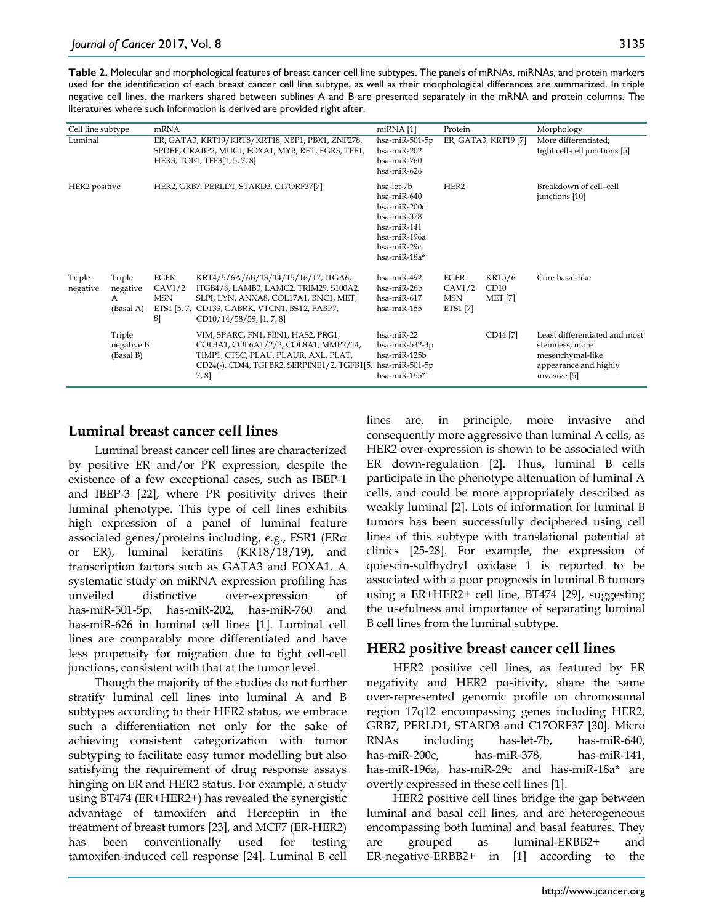**Table 2.** Molecular and morphological features of breast cancer cell line subtypes. The panels of mRNAs, miRNAs, and protein markers used for the identification of each breast cancer cell line subtype, as well as their morphological differences are summarized. In triple negative cell lines, the markers shared between sublines A and B are presented separately in the mRNA and protein columns. The literatures where such information is derived are provided right after.

| Cell line subtype                 |                                      | mRNA                                    |                                                                                                                                                                                                     | $m$ iRNA $[1]$                                                                                                                      | Protein                                  |                                         | Morphology                                                                                                   |
|-----------------------------------|--------------------------------------|-----------------------------------------|-----------------------------------------------------------------------------------------------------------------------------------------------------------------------------------------------------|-------------------------------------------------------------------------------------------------------------------------------------|------------------------------------------|-----------------------------------------|--------------------------------------------------------------------------------------------------------------|
| Luminal                           |                                      |                                         | ER, GATA3, KRT19/KRT8/KRT18, XBP1, PBX1, ZNF278,<br>SPDEF, CRABP2, MUC1, FOXA1, MYB, RET, EGR3, TFF1,<br>HER3, TOB1, TFF3[1, 5, 7, 8]                                                               | hsa-miR-501-5p<br>hsa-miR-202<br>hsa-miR-760<br>$hsa$ -mi $R$ -626                                                                  | ER, GATA3, KRT19 <sup>[7]</sup>          |                                         | More differentiated;<br>tight cell-cell junctions [5]                                                        |
| HER2 positive                     |                                      | HER2, GRB7, PERLD1, STARD3, C17ORF37[7] |                                                                                                                                                                                                     | hsa-let-7b<br>$hsa$ -mi $R$ -640<br>$hsa$ -mi $R-200c$<br>hsa-miR-378<br>hsa-miR-141<br>hsa-miR-196a<br>hsa-miR-29c<br>hsa-miR-18a* | HER <sub>2</sub>                         |                                         | Breakdown of cell-cell<br>junctions [10]                                                                     |
| Triple<br>negative                | Triple<br>negative<br>A<br>(Basal A) | EGFR<br>CAV1/2<br><b>MSN</b><br>81      | KRT4/5/6A/6B/13/14/15/16/17, ITGA6,<br>ITGB4/6, LAMB3, LAMC2, TRIM29, S100A2,<br>SLPI, LYN, ANXA8, COL17A1, BNC1, MET,<br>ETS1 [5, 7, CD133, GABRK, VTCN1, BST2, FABP7,<br>CD10/14/58/59, [1, 7, 8] | hsa-miR-492<br>hsa-miR-26b<br>hsa-miR-617<br>hsa-miR-155                                                                            | EGFR<br>CAV1/2<br><b>MSN</b><br>ETS1 [7] | <b>KRT5/6</b><br>CD10<br><b>MET</b> [7] | Core basal-like                                                                                              |
| Triple<br>negative B<br>(Basal B) |                                      |                                         | VIM, SPARC, FN1, FBN1, HAS2, PRG1,<br>COL3A1, COL6A1/2/3, COL8A1, MMP2/14,<br>TIMP1, CTSC, PLAU, PLAUR, AXL, PLAT,<br>CD24(-), CD44, TGFBR2, SERPINE1/2, TGFB1[5,<br>[7, 8]                         | hsa-miR-22<br>hsa-miR-532-3p<br>hsa-miR-125b<br>hsa-miR-501-5p<br>hsa-miR-155*                                                      |                                          | CD44 [7]                                | Least differentiated and most<br>stemness; more<br>mesenchymal-like<br>appearance and highly<br>invasive [5] |

# **Luminal breast cancer cell lines**

Luminal breast cancer cell lines are characterized by positive ER and/or PR expression, despite the existence of a few exceptional cases, such as IBEP-1 and IBEP-3 [22], where PR positivity drives their luminal phenotype. This type of cell lines exhibits high expression of a panel of luminal feature associated genes/proteins including, e.g., ESR1 (ERα or ER), luminal keratins (KRT8/18/19), and transcription factors such as GATA3 and FOXA1. A systematic study on miRNA expression profiling has unveiled distinctive over-expression of has-miR-501-5p, has-miR-202, has-miR-760 and has-miR-626 in luminal cell lines [1]. Luminal cell lines are comparably more differentiated and have less propensity for migration due to tight cell-cell junctions, consistent with that at the tumor level.

Though the majority of the studies do not further stratify luminal cell lines into luminal A and B subtypes according to their HER2 status, we embrace such a differentiation not only for the sake of achieving consistent categorization with tumor subtyping to facilitate easy tumor modelling but also satisfying the requirement of drug response assays hinging on ER and HER2 status. For example, a study using BT474 (ER+HER2+) has revealed the synergistic advantage of tamoxifen and Herceptin in the treatment of breast tumors [23], and MCF7 (ER-HER2) has been conventionally used for testing tamoxifen-induced cell response [24]. Luminal B cell lines are, in principle, more invasive and consequently more aggressive than luminal A cells, as HER2 over-expression is shown to be associated with ER down-regulation [2]. Thus, luminal B cells participate in the phenotype attenuation of luminal A cells, and could be more appropriately described as weakly luminal [2]. Lots of information for luminal B tumors has been successfully deciphered using cell lines of this subtype with translational potential at clinics [25-28]. For example, the expression of quiescin-sulfhydryl oxidase 1 is reported to be associated with a poor prognosis in luminal B tumors using a ER+HER2+ cell line, BT474 [29], suggesting the usefulness and importance of separating luminal B cell lines from the luminal subtype.

# **HER2 positive breast cancer cell lines**

HER2 positive cell lines, as featured by ER negativity and HER2 positivity, share the same over-represented genomic profile on chromosomal region 17q12 encompassing genes including HER2, GRB7, PERLD1, STARD3 and C17ORF37 [30]. Micro RNAs including has-let-7b, has-miR-640, has-miR-200c, has-miR-378, has-miR-141, has-miR-196a, has-miR-29c and has-miR-18a\* are overtly expressed in these cell lines [1].

HER2 positive cell lines bridge the gap between luminal and basal cell lines, and are heterogeneous encompassing both luminal and basal features. They are grouped as luminal-ERBB2+ and ER-negative-ERBB2+ in [1] according to the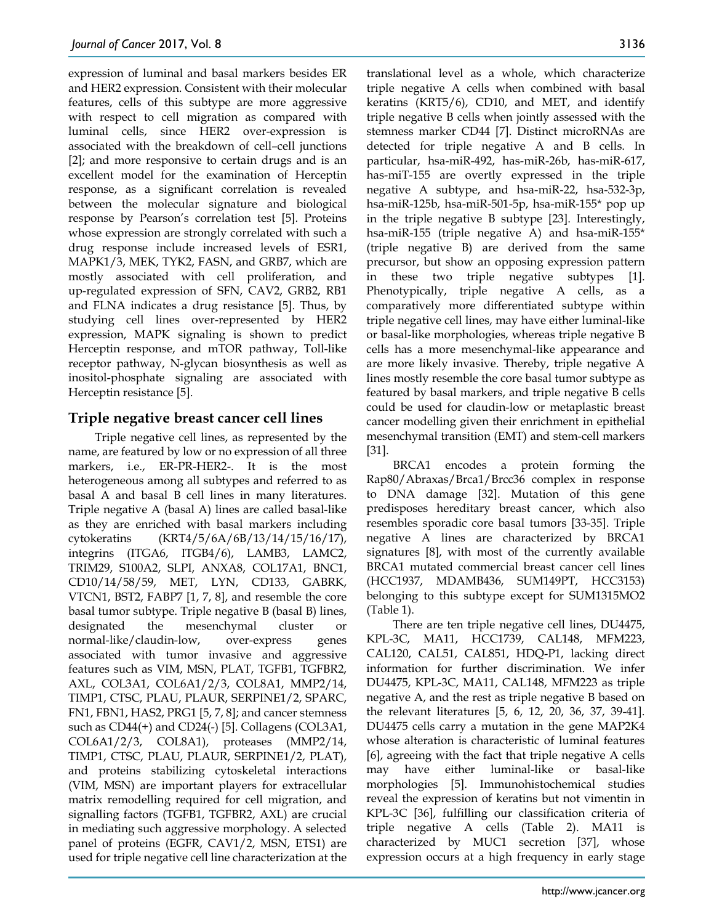expression of luminal and basal markers besides ER and HER2 expression. Consistent with their molecular features, cells of this subtype are more aggressive with respect to cell migration as compared with luminal cells, since HER2 over-expression is associated with the breakdown of cell–cell junctions [2]; and more responsive to certain drugs and is an excellent model for the examination of Herceptin response, as a significant correlation is revealed between the molecular signature and biological response by Pearson's correlation test [5]. Proteins whose expression are strongly correlated with such a drug response include increased levels of ESR1, MAPK1/3, MEK, TYK2, FASN, and GRB7, which are mostly associated with cell proliferation, and up-regulated expression of SFN, CAV2, GRB2, RB1 and FLNA indicates a drug resistance [5]. Thus, by studying cell lines over-represented by HER2 expression, MAPK signaling is shown to predict Herceptin response, and mTOR pathway, Toll-like receptor pathway, N-glycan biosynthesis as well as inositol-phosphate signaling are associated with Herceptin resistance [5].

## **Triple negative breast cancer cell lines**

Triple negative cell lines, as represented by the name, are featured by low or no expression of all three markers, i.e., ER-PR-HER2-. It is the most heterogeneous among all subtypes and referred to as basal A and basal B cell lines in many literatures. Triple negative A (basal A) lines are called basal-like as they are enriched with basal markers including cytokeratins (KRT4/5/6A/6B/13/14/15/16/17), integrins (ITGA6, ITGB4/6), LAMB3, LAMC2, TRIM29, S100A2, SLPI, ANXA8, COL17A1, BNC1, CD10/14/58/59, MET, LYN, CD133, GABRK, VTCN1, BST2, FABP7 [1, 7, 8], and resemble the core basal tumor subtype. Triple negative B (basal B) lines, designated the mesenchymal cluster or normal-like/claudin-low, over-express genes associated with tumor invasive and aggressive features such as VIM, MSN, PLAT, TGFB1, TGFBR2, AXL, COL3A1, COL6A1/2/3, COL8A1, MMP2/14, TIMP1, CTSC, PLAU, PLAUR, SERPINE1/2, SPARC, FN1, FBN1, HAS2, PRG1 [5, 7, 8]; and cancer stemness such as CD44(+) and CD24(-) [5]. Collagens (COL3A1, COL6A1/2/3, COL8A1), proteases (MMP2/14, TIMP1, CTSC, PLAU, PLAUR, SERPINE1/2, PLAT), and proteins stabilizing cytoskeletal interactions (VIM, MSN) are important players for extracellular matrix remodelling required for cell migration, and signalling factors (TGFB1, TGFBR2, AXL) are crucial in mediating such aggressive morphology. A selected panel of proteins (EGFR, CAV1/2, MSN, ETS1) are used for triple negative cell line characterization at the

translational level as a whole, which characterize triple negative A cells when combined with basal keratins (KRT5/6), CD10, and MET, and identify triple negative B cells when jointly assessed with the stemness marker CD44 [7]. Distinct microRNAs are detected for triple negative A and B cells. In particular, hsa-miR-492, has-miR-26b, has-miR-617, has-miT-155 are overtly expressed in the triple negative A subtype, and hsa-miR-22, hsa-532-3p, hsa-miR-125b, hsa-miR-501-5p, hsa-miR-155\* pop up in the triple negative B subtype [23]. Interestingly, hsa-miR-155 (triple negative A) and hsa-miR-155\* (triple negative B) are derived from the same precursor, but show an opposing expression pattern in these two triple negative subtypes [1]. Phenotypically, triple negative A cells, as a comparatively more differentiated subtype within triple negative cell lines, may have either luminal-like or basal-like morphologies, whereas triple negative B cells has a more mesenchymal-like appearance and are more likely invasive. Thereby, triple negative A lines mostly resemble the core basal tumor subtype as featured by basal markers, and triple negative B cells could be used for claudin-low or metaplastic breast cancer modelling given their enrichment in epithelial mesenchymal transition (EMT) and stem-cell markers [31].

BRCA1 encodes a protein forming the Rap80/Abraxas/Brca1/Brcc36 complex in response to DNA damage [32]. Mutation of this gene predisposes hereditary breast cancer, which also resembles sporadic core basal tumors [33-35]. Triple negative A lines are characterized by BRCA1 signatures [8], with most of the currently available BRCA1 mutated commercial breast cancer cell lines (HCC1937, MDAMB436, SUM149PT, HCC3153) belonging to this subtype except for SUM1315MO2 (Table 1).

There are ten triple negative cell lines, DU4475, KPL-3C, MA11, HCC1739, CAL148, MFM223, CAL120, CAL51, CAL851, HDQ-P1, lacking direct information for further discrimination. We infer DU4475, KPL-3C, MA11, CAL148, MFM223 as triple negative A, and the rest as triple negative B based on the relevant literatures [5, 6, 12, 20, 36, 37, 39-41]. DU4475 cells carry a mutation in the gene MAP2K4 whose alteration is characteristic of luminal features [6], agreeing with the fact that triple negative A cells may have either luminal-like or basal-like morphologies [5]. Immunohistochemical studies reveal the expression of keratins but not vimentin in KPL-3C [36], fulfilling our classification criteria of triple negative A cells (Table 2). MA11 is characterized by MUC1 secretion [37], whose expression occurs at a high frequency in early stage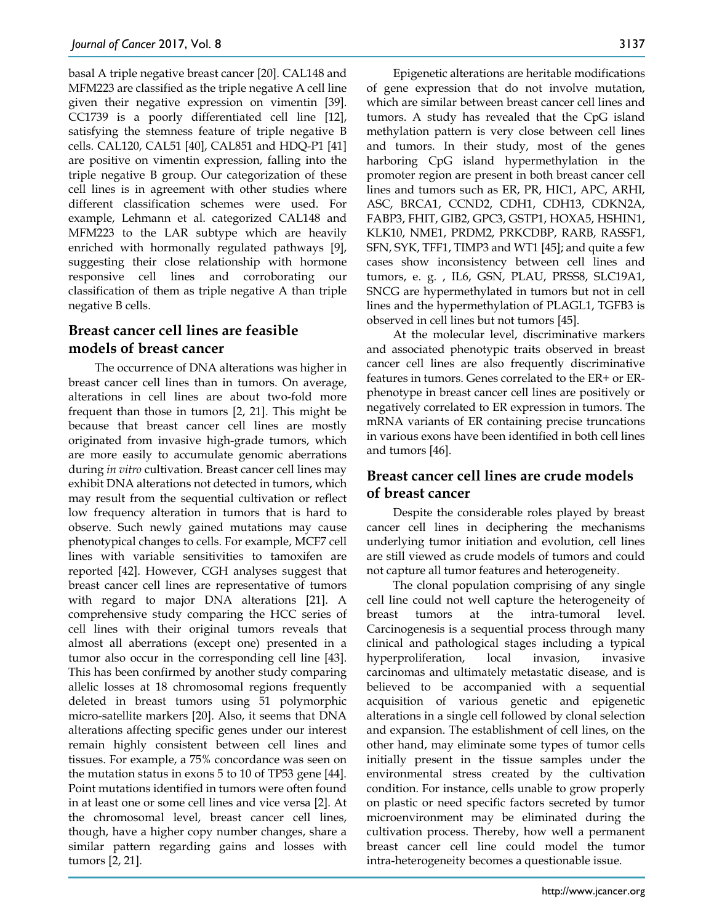basal A triple negative breast cancer [20]. CAL148 and MFM223 are classified as the triple negative A cell line given their negative expression on vimentin [39]. CC1739 is a poorly differentiated cell line [12], satisfying the stemness feature of triple negative B cells. CAL120, CAL51 [40], CAL851 and HDQ-P1 [41] are positive on vimentin expression, falling into the triple negative B group. Our categorization of these cell lines is in agreement with other studies where different classification schemes were used. For example, Lehmann et al. categorized CAL148 and MFM223 to the LAR subtype which are heavily enriched with hormonally regulated pathways [9], suggesting their close relationship with hormone responsive cell lines and corroborating our classification of them as triple negative A than triple negative B cells.

### **Breast cancer cell lines are feasible models of breast cancer**

The occurrence of DNA alterations was higher in breast cancer cell lines than in tumors. On average, alterations in cell lines are about two-fold more frequent than those in tumors [2, 21]. This might be because that breast cancer cell lines are mostly originated from invasive high-grade tumors, which are more easily to accumulate genomic aberrations during *in vitro* cultivation. Breast cancer cell lines may exhibit DNA alterations not detected in tumors, which may result from the sequential cultivation or reflect low frequency alteration in tumors that is hard to observe. Such newly gained mutations may cause phenotypical changes to cells. For example, MCF7 cell lines with variable sensitivities to tamoxifen are reported [42]. However, CGH analyses suggest that breast cancer cell lines are representative of tumors with regard to major DNA alterations [21]. A comprehensive study comparing the HCC series of cell lines with their original tumors reveals that almost all aberrations (except one) presented in a tumor also occur in the corresponding cell line [43]. This has been confirmed by another study comparing allelic losses at 18 chromosomal regions frequently deleted in breast tumors using 51 polymorphic micro-satellite markers [20]. Also, it seems that DNA alterations affecting specific genes under our interest remain highly consistent between cell lines and tissues. For example, a 75% concordance was seen on the mutation status in exons 5 to 10 of TP53 gene [44]. Point mutations identified in tumors were often found in at least one or some cell lines and vice versa [2]. At the chromosomal level, breast cancer cell lines, though, have a higher copy number changes, share a similar pattern regarding gains and losses with tumors [2, 21].

Epigenetic alterations are heritable modifications of gene expression that do not involve mutation, which are similar between breast cancer cell lines and tumors. A study has revealed that the CpG island methylation pattern is very close between cell lines and tumors. In their study, most of the genes harboring CpG island hypermethylation in the promoter region are present in both breast cancer cell lines and tumors such as ER, PR, HIC1, APC, ARHI, ASC, BRCA1, CCND2, CDH1, CDH13, CDKN2A, FABP3, FHIT, GIB2, GPC3, GSTP1, HOXA5, HSHIN1, KLK10, NME1, PRDM2, PRKCDBP, RARB, RASSF1, SFN, SYK, TFF1, TIMP3 and WT1 [45]; and quite a few cases show inconsistency between cell lines and tumors, e. g. , IL6, GSN, PLAU, PRSS8, SLC19A1, SNCG are hypermethylated in tumors but not in cell lines and the hypermethylation of PLAGL1, TGFB3 is observed in cell lines but not tumors [45].

At the molecular level, discriminative markers and associated phenotypic traits observed in breast cancer cell lines are also frequently discriminative features in tumors. Genes correlated to the ER+ or ERphenotype in breast cancer cell lines are positively or negatively correlated to ER expression in tumors. The mRNA variants of ER containing precise truncations in various exons have been identified in both cell lines and tumors [46].

## **Breast cancer cell lines are crude models of breast cancer**

Despite the considerable roles played by breast cancer cell lines in deciphering the mechanisms underlying tumor initiation and evolution, cell lines are still viewed as crude models of tumors and could not capture all tumor features and heterogeneity.

The clonal population comprising of any single cell line could not well capture the heterogeneity of breast tumors at the intra-tumoral level. Carcinogenesis is a sequential process through many clinical and pathological stages including a typical hyperproliferation, local invasion, invasive carcinomas and ultimately metastatic disease, and is believed to be accompanied with a sequential acquisition of various genetic and epigenetic alterations in a single cell followed by clonal selection and expansion. The establishment of cell lines, on the other hand, may eliminate some types of tumor cells initially present in the tissue samples under the environmental stress created by the cultivation condition. For instance, cells unable to grow properly on plastic or need specific factors secreted by tumor microenvironment may be eliminated during the cultivation process. Thereby, how well a permanent breast cancer cell line could model the tumor intra-heterogeneity becomes a questionable issue.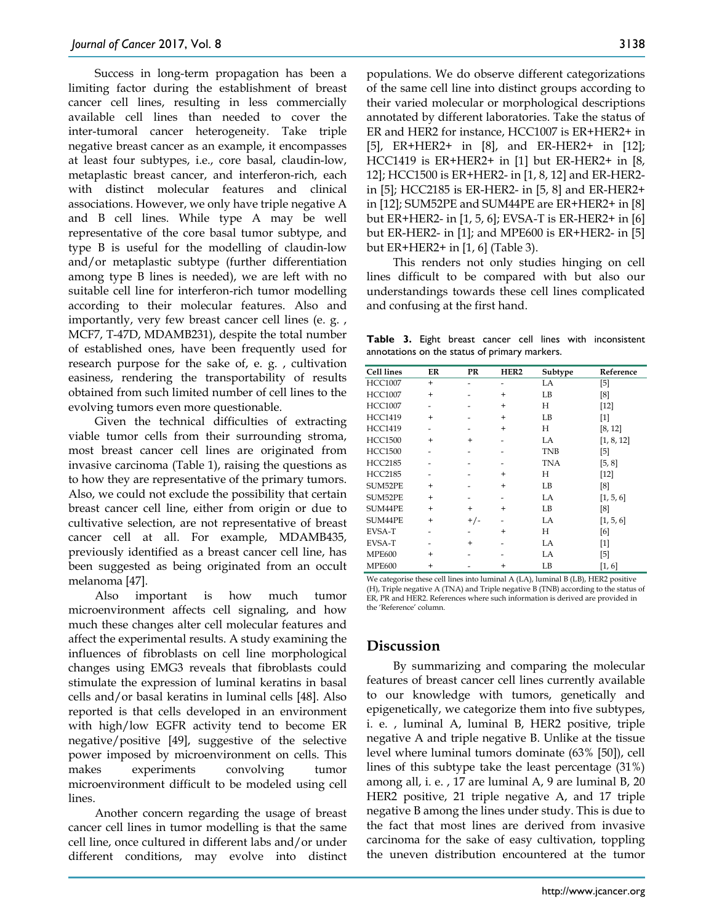Success in long-term propagation has been a limiting factor during the establishment of breast cancer cell lines, resulting in less commercially available cell lines than needed to cover the inter-tumoral cancer heterogeneity. Take triple negative breast cancer as an example, it encompasses at least four subtypes, i.e., core basal, claudin-low, metaplastic breast cancer, and interferon-rich, each with distinct molecular features and clinical associations. However, we only have triple negative A and B cell lines. While type A may be well representative of the core basal tumor subtype, and type B is useful for the modelling of claudin-low and/or metaplastic subtype (further differentiation among type B lines is needed), we are left with no suitable cell line for interferon-rich tumor modelling according to their molecular features. Also and importantly, very few breast cancer cell lines (e. g. , MCF7, T-47D, MDAMB231), despite the total number of established ones, have been frequently used for research purpose for the sake of, e. g. , cultivation easiness, rendering the transportability of results obtained from such limited number of cell lines to the evolving tumors even more questionable.

Given the technical difficulties of extracting viable tumor cells from their surrounding stroma, most breast cancer cell lines are originated from invasive carcinoma (Table 1), raising the questions as to how they are representative of the primary tumors. Also, we could not exclude the possibility that certain breast cancer cell line, either from origin or due to cultivative selection, are not representative of breast cancer cell at all. For example, MDAMB435, previously identified as a breast cancer cell line, has been suggested as being originated from an occult melanoma [47].

Also important is how much tumor microenvironment affects cell signaling, and how much these changes alter cell molecular features and affect the experimental results. A study examining the influences of fibroblasts on cell line morphological changes using EMG3 reveals that fibroblasts could stimulate the expression of luminal keratins in basal cells and/or basal keratins in luminal cells [48]. Also reported is that cells developed in an environment with high/low EGFR activity tend to become ER negative/positive [49], suggestive of the selective power imposed by microenvironment on cells. This makes experiments convolving tumor microenvironment difficult to be modeled using cell lines.

Another concern regarding the usage of breast cancer cell lines in tumor modelling is that the same cell line, once cultured in different labs and/or under different conditions, may evolve into distinct populations. We do observe different categorizations of the same cell line into distinct groups according to their varied molecular or morphological descriptions annotated by different laboratories. Take the status of ER and HER2 for instance, HCC1007 is ER+HER2+ in [5], ER+HER2+ in [8], and ER-HER2+ in [12]; HCC1419 is ER+HER2+ in [1] but ER-HER2+ in [8, 12]; HCC1500 is ER+HER2- in [1, 8, 12] and ER-HER2 in [5]; HCC2185 is ER-HER2- in [5, 8] and ER-HER2+ in [12]; SUM52PE and SUM44PE are ER+HER2+ in [8] but ER+HER2- in [1, 5, 6]; EVSA-T is ER-HER2+ in [6] but ER-HER2- in [1]; and MPE600 is ER+HER2- in [5] but ER+HER2+ in [1, 6] (Table 3).

This renders not only studies hinging on cell lines difficult to be compared with but also our understandings towards these cell lines complicated and confusing at the first hand.

**Table 3.** Eight breast cancer cell lines with inconsistent annotations on the status of primary markers.

| <b>Cell lines</b> | ER        | PR    | HER2 | Subtype    | Reference  |
|-------------------|-----------|-------|------|------------|------------|
| <b>HCC1007</b>    | $+$       |       |      | LA         | $[5]$      |
| <b>HCC1007</b>    | $+$       |       | $+$  | LB         | [8]        |
| <b>HCC1007</b>    |           |       | $+$  | Н          | [12]       |
| <b>HCC1419</b>    | $+$       |       | $+$  | LB         | $[1]$      |
| <b>HCC1419</b>    | -         |       | $+$  | Н          | [8, 12]    |
| <b>HCC1500</b>    | $+$       | $+$   | -    | LA         | [1, 8, 12] |
| <b>HCC1500</b>    | -         |       | -    | <b>TNB</b> | $[5]$      |
| <b>HCC2185</b>    |           |       |      | TNA        | [5, 8]     |
| <b>HCC2185</b>    |           |       | $+$  | Н          | $[12]$     |
| SUM52PE           | $+$       |       | $+$  | LB         | [8]        |
| SUM52PE           | $+$       |       | ٠    | LA         | [1, 5, 6]  |
| SUM44PE           | $\ddot{}$ | $+$   | $+$  | LB         | [8]        |
| SUM44PE           | $+$       | $+/-$ |      | LA         | [1, 5, 6]  |
| EVSA-T            |           |       | $+$  | Н          | [6]        |
| EVSA-T            |           | $+$   |      | LA         | $[1]$      |
| <b>MPE600</b>     | $+$       |       |      | LA         | $[5]$      |
| <b>MPE600</b>     | $\ddot{}$ |       | $+$  | LB         | [1, 6]     |

We categorise these cell lines into luminal A (LA), luminal B (LB), HER2 positive (H), Triple negative A (TNA) and Triple negative B (TNB) according to the status of ER, PR and HER2. References where such information is derived are provided in the 'Reference' column.

#### **Discussion**

By summarizing and comparing the molecular features of breast cancer cell lines currently available to our knowledge with tumors, genetically and epigenetically, we categorize them into five subtypes, i. e. , luminal A, luminal B, HER2 positive, triple negative A and triple negative B. Unlike at the tissue level where luminal tumors dominate (63% [50]), cell lines of this subtype take the least percentage (31%) among all, i. e. , 17 are luminal A, 9 are luminal B, 20 HER2 positive, 21 triple negative A, and 17 triple negative B among the lines under study. This is due to the fact that most lines are derived from invasive carcinoma for the sake of easy cultivation, toppling the uneven distribution encountered at the tumor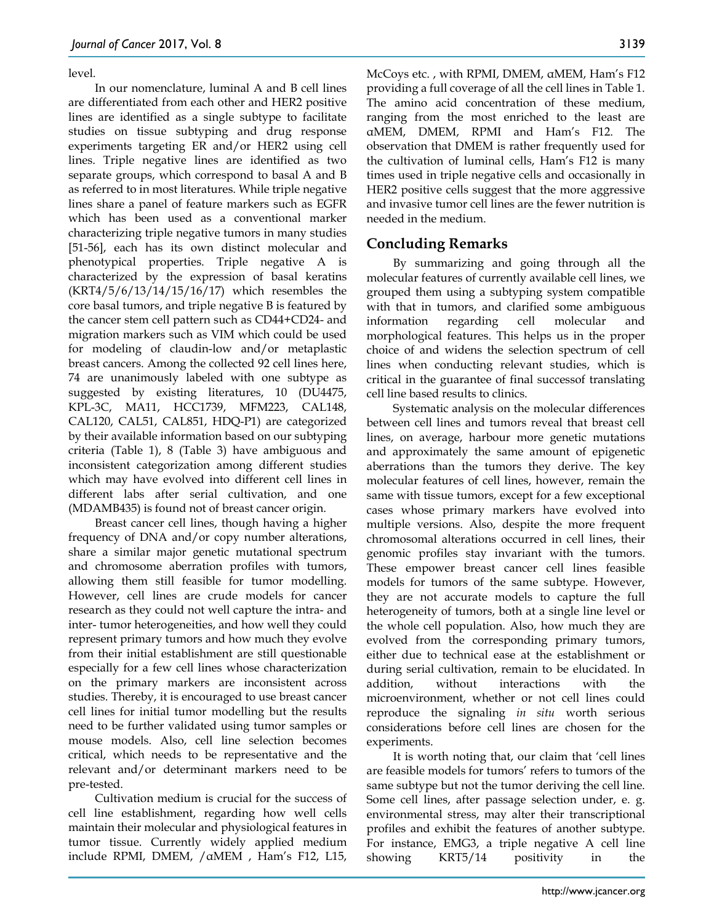level.

In our nomenclature, luminal A and B cell lines are differentiated from each other and HER2 positive lines are identified as a single subtype to facilitate studies on tissue subtyping and drug response experiments targeting ER and/or HER2 using cell lines. Triple negative lines are identified as two separate groups, which correspond to basal A and B as referred to in most literatures. While triple negative lines share a panel of feature markers such as EGFR which has been used as a conventional marker characterizing triple negative tumors in many studies [51-56], each has its own distinct molecular and phenotypical properties. Triple negative A is characterized by the expression of basal keratins (KRT4/5/6/13/14/15/16/17) which resembles the core basal tumors, and triple negative B is featured by the cancer stem cell pattern such as CD44+CD24- and migration markers such as VIM which could be used for modeling of claudin-low and/or metaplastic breast cancers. Among the collected 92 cell lines here, 74 are unanimously labeled with one subtype as suggested by existing literatures, 10 (DU4475, KPL-3C, MA11, HCC1739, MFM223, CAL148, CAL120, CAL51, CAL851, HDQ-P1) are categorized by their available information based on our subtyping criteria (Table 1), 8 (Table 3) have ambiguous and inconsistent categorization among different studies which may have evolved into different cell lines in different labs after serial cultivation, and one (MDAMB435) is found not of breast cancer origin.

Breast cancer cell lines, though having a higher frequency of DNA and/or copy number alterations, share a similar major genetic mutational spectrum and chromosome aberration profiles with tumors, allowing them still feasible for tumor modelling. However, cell lines are crude models for cancer research as they could not well capture the intra- and inter- tumor heterogeneities, and how well they could represent primary tumors and how much they evolve from their initial establishment are still questionable especially for a few cell lines whose characterization on the primary markers are inconsistent across studies. Thereby, it is encouraged to use breast cancer cell lines for initial tumor modelling but the results need to be further validated using tumor samples or mouse models. Also, cell line selection becomes critical, which needs to be representative and the relevant and/or determinant markers need to be pre-tested.

Cultivation medium is crucial for the success of cell line establishment, regarding how well cells maintain their molecular and physiological features in tumor tissue. Currently widely applied medium include RPMI, DMEM, /αMEM , Ham's F12, L15,

McCoys etc. , with RPMI, DMEM, αMEM, Ham's F12 providing a full coverage of all the cell lines in Table 1. The amino acid concentration of these medium, ranging from the most enriched to the least are αMEM, DMEM, RPMI and Ham's F12. The observation that DMEM is rather frequently used for the cultivation of luminal cells, Ham's F12 is many times used in triple negative cells and occasionally in HER2 positive cells suggest that the more aggressive and invasive tumor cell lines are the fewer nutrition is needed in the medium.

## **Concluding Remarks**

By summarizing and going through all the molecular features of currently available cell lines, we grouped them using a subtyping system compatible with that in tumors, and clarified some ambiguous information regarding cell molecular and morphological features. This helps us in the proper choice of and widens the selection spectrum of cell lines when conducting relevant studies, which is critical in the guarantee of final successof translating cell line based results to clinics.

Systematic analysis on the molecular differences between cell lines and tumors reveal that breast cell lines, on average, harbour more genetic mutations and approximately the same amount of epigenetic aberrations than the tumors they derive. The key molecular features of cell lines, however, remain the same with tissue tumors, except for a few exceptional cases whose primary markers have evolved into multiple versions. Also, despite the more frequent chromosomal alterations occurred in cell lines, their genomic profiles stay invariant with the tumors. These empower breast cancer cell lines feasible models for tumors of the same subtype. However, they are not accurate models to capture the full heterogeneity of tumors, both at a single line level or the whole cell population. Also, how much they are evolved from the corresponding primary tumors, either due to technical ease at the establishment or during serial cultivation, remain to be elucidated. In addition, without interactions with the microenvironment, whether or not cell lines could reproduce the signaling *in situ* worth serious considerations before cell lines are chosen for the experiments.

It is worth noting that, our claim that 'cell lines are feasible models for tumors' refers to tumors of the same subtype but not the tumor deriving the cell line. Some cell lines, after passage selection under, e. g. environmental stress, may alter their transcriptional profiles and exhibit the features of another subtype. For instance, EMG3, a triple negative A cell line showing KRT5/14 positivity in the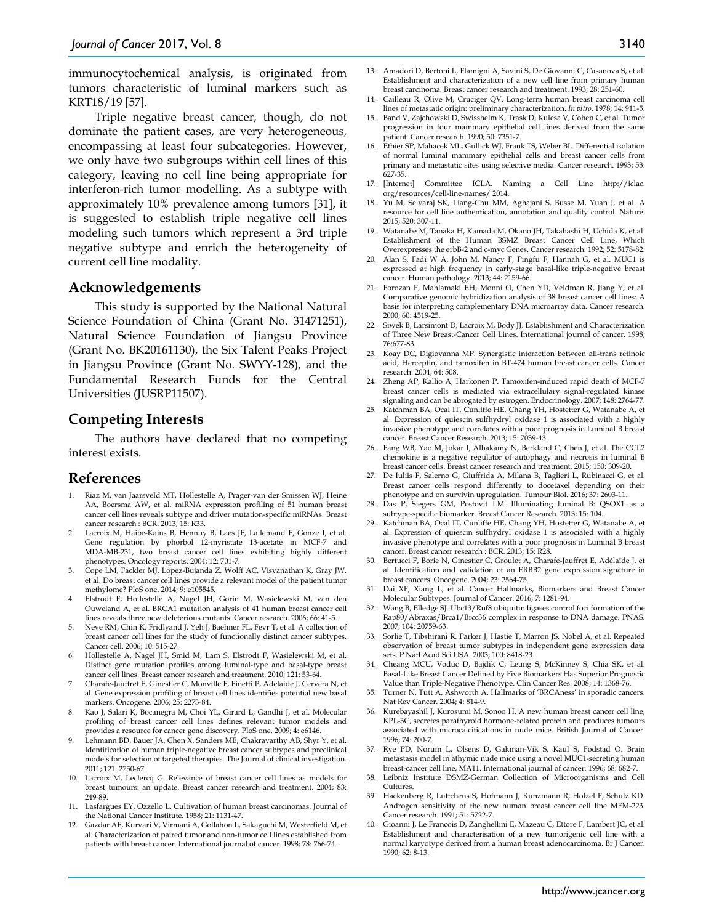immunocytochemical analysis, is originated from tumors characteristic of luminal markers such as KRT18/19 [57].

Triple negative breast cancer, though, do not dominate the patient cases, are very heterogeneous, encompassing at least four subcategories. However, we only have two subgroups within cell lines of this category, leaving no cell line being appropriate for interferon-rich tumor modelling. As a subtype with approximately 10% prevalence among tumors [31], it is suggested to establish triple negative cell lines modeling such tumors which represent a 3rd triple negative subtype and enrich the heterogeneity of current cell line modality.

#### **Acknowledgements**

This study is supported by the National Natural Science Foundation of China (Grant No. 31471251), Natural Science Foundation of Jiangsu Province (Grant No. BK20161130), the Six Talent Peaks Project in Jiangsu Province (Grant No. SWYY-128), and the Fundamental Research Funds for the Central Universities (JUSRP11507).

#### **Competing Interests**

The authors have declared that no competing interest exists.

#### **References**

- Riaz M, van Jaarsveld MT, Hollestelle A, Prager-van der Smissen WJ, Heine AA, Boersma AW, et al. miRNA expression profiling of 51 human breast cancer cell lines reveals subtype and driver mutation-specific miRNAs. Breast cancer research : BCR. 2013; 15: R33.
- 2. Lacroix M, Haibe-Kains B, Hennuy B, Laes JF, Lallemand F, Gonze I, et al. Gene regulation by phorbol 12-myristate 13-acetate in MCF-7 and MDA-MB-231, two breast cancer cell lines exhibiting highly different phenotypes. Oncology reports. 2004; 12: 701-7.
- 3. Cope LM, Fackler MJ, Lopez-Bujanda Z, Wolff AC, Visvanathan K, Gray JW, et al. Do breast cancer cell lines provide a relevant model of the patient tumor methylome? PloS one. 2014; 9: e105545.
- 4. Elstrodt F, Hollestelle A, Nagel JH, Gorin M, Wasielewski M, van den Ouweland A, et al. BRCA1 mutation analysis of 41 human breast cancer cell lines reveals three new deleterious mutants. Cancer research. 2006; 66: 41-5.
- 5. Neve RM, Chin K, Fridlyand J, Yeh J, Baehner FL, Fevr T, et al. A collection of breast cancer cell lines for the study of functionally distinct cancer subtypes. Cancer cell. 2006; 10: 515-27.
- 6. Hollestelle A, Nagel JH, Smid M, Lam S, Elstrodt F, Wasielewski M, et al. Distinct gene mutation profiles among luminal-type and basal-type breast cancer cell lines. Breast cancer research and treatment. 2010; 121: 53-64.
- 7. Charafe-Jauffret E, Ginestier C, Monville F, Finetti P, Adelaide J, Cervera N, et al. Gene expression profiling of breast cell lines identifies potential new basal markers. Oncogene. 2006; 25: 2273-84.
- Kao J, Salari K, Bocanegra M, Choi YL, Girard L, Gandhi J, et al. Molecular profiling of breast cancer cell lines defines relevant tumor models and provides a resource for cancer gene discovery. PloS one. 2009; 4: e6146.
- 9. Lehmann BD, Bauer JA, Chen X, Sanders ME, Chakravarthy AB, Shyr Y, et al. Identification of human triple-negative breast cancer subtypes and preclinical models for selection of targeted therapies. The Journal of clinical investigation. 2011; 121: 2750-67.
- 10. Lacroix M, Leclercq G. Relevance of breast cancer cell lines as models for breast tumours: an update. Breast cancer research and treatment. 2004; 83: 249-89.
- 11. Lasfargues EY, Ozzello L. Cultivation of human breast carcinomas. Journal of the National Cancer Institute. 1958; 21: 1131-47.
- 12. Gazdar AF, Kurvari V, Virmani A, Gollahon L, Sakaguchi M, Westerfield M, et al. Characterization of paired tumor and non-tumor cell lines established from patients with breast cancer. International journal of cancer. 1998; 78: 766-74.
- 13. Amadori D, Bertoni L, Flamigni A, Savini S, De Giovanni C, Casanova S, et al. Establishment and characterization of a new cell line from primary human breast carcinoma. Breast cancer research and treatment. 1993; 28: 251-60.
- 14. Cailleau R, Olive M, Cruciger QV. Long-term human breast carcinoma cell lines of metastatic origin: preliminary characterization. *In vitro*. 1978; 14: 911-5.
- 15. Band V, Zajchowski D, Swisshelm K, Trask D, Kulesa V, Cohen C, et al. Tumor progression in four mammary epithelial cell lines derived from the same patient. Cancer research. 1990; 50: 7351-7.
- 16. Ethier SP, Mahacek ML, Gullick WJ, Frank TS, Weber BL. Differential isolation of normal luminal mammary epithelial cells and breast cancer cells from primary and metastatic sites using selective media. Cancer research. 1993; 53:
- 627-35.<br>17. [Internet] Committee ICLA. Naming a Cell Line http://iclac. org/resources/cell-line-names/ 2014.
- 18. Yu M, Selvaraj SK, Liang-Chu MM, Aghajani S, Busse M, Yuan J, et al. A resource for cell line authentication, annotation and quality control. Nature. 2015; 520: 307-11.
- 19. Watanabe M, Tanaka H, Kamada M, Okano JH, Takahashi H, Uchida K, et al. Establishment of the Human BSMZ Breast Cancer Cell Line, Which Overexpresses the erbB-2 and c-myc Genes. Cancer research. 1992; 52: 5178-82.
- 20. Alan S, Fadi W A, John M, Nancy F, Pingfu F, Hannah G, et al. MUC1 is expressed at high frequency in early-stage basal-like triple-negative breast cancer. Human pathology. 2013; 44: 2159-66.
- 21. Forozan F, Mahlamaki EH, Monni O, Chen YD, Veldman R, Jiang Y, et al. Comparative genomic hybridization analysis of 38 breast cancer cell lines: A basis for interpreting complementary DNA microarray data. Cancer research. 2000; 60: 4519-25.
- 22. Siwek B, Larsimont D, Lacroix M, Body JJ. Establishment and Characterization of Three New Breast-Cancer Cell Lines. International journal of cancer. 1998; 76:677-83.
- 23. Koay DC, Digiovanna MP. Synergistic interaction between all-trans retinoic acid, Herceptin, and tamoxifen in BT-474 human breast cancer cells. Cancer research. 2004; 64: 508.
- 24. Zheng AP, Kallio A, Harkonen P. Tamoxifen-induced rapid death of MCF-7 breast cancer cells is mediated via extracellulary signal-regulated kinase signaling and can be abrogated by estrogen. Endocrinology. 2007; 148: 2764-77.
- 25. Katchman BA, Ocal IT, Cunliffe HE, Chang YH, Hostetter G, Watanabe A, et al. Expression of quiescin sulfhydryl oxidase 1 is associated with a highly invasive phenotype and correlates with a poor prognosis in Luminal B breast cancer. Breast Cancer Research. 2013; 15: 7039-43.
- 26. Fang WB, Yao M, Jokar I, Alhakamy N, Berkland C, Chen J, et al. The CCL2 chemokine is a negative regulator of autophagy and necrosis in luminal B breast cancer cells. Breast cancer research and treatment. 2015; 150: 309-20.
- 27. De Iuliis F, Salerno G, Giuffrida A, Milana B, Taglieri L, Rubinacci G, et al. Breast cancer cells respond differently to docetaxel depending on their phenotype and on survivin upregulation. Tumour Biol. 2016; 37: 2603-11.
- 28. Das P, Siegers GM, Postovit LM. Illuminating luminal B: QSOX1 as a subtype-specific biomarker. Breast Cancer Research. 2013; 15: 104.
- 29. Katchman BA, Ocal IT, Cunliffe HE, Chang YH, Hostetter G, Watanabe A, et al. Expression of quiescin sulfhydryl oxidase 1 is associated with a highly invasive phenotype and correlates with a poor prognosis in Luminal B breast cancer. Breast cancer research : BCR. 2013; 15: R28.
- 30. Bertucci F, Borie N, Ginestier C, Groulet A, Charafe-Jauffret E, Adélaïde J, et al. Identification and validation of an ERBB2 gene expression signature in breast cancers. Oncogene. 2004; 23: 2564-75.
- 31. Dai XF, Xiang L, et al. Cancer Hallmarks, Biomarkers and Breast Cancer Molecular Subtypes. Journal of Cancer. 2016; 7: 1281-94.
- 32. Wang B, Elledge SJ. Ubc13/Rnf8 ubiquitin ligases control foci formation of the Rap80/Abraxas/Brca1/Brcc36 complex in response to DNA damage. PNAS. 2007; 104: 20759-63.
- 33. Sorlie T, Tibshirani R, Parker J, Hastie T, Marron JS, Nobel A, et al. Repeated observation of breast tumor subtypes in independent gene expression data sets. P Natl Acad Sci USA. 2003; 100: 8418-23.
- 34. Cheang MCU, Voduc D, Bajdik C, Leung S, McKinney S, Chia SK, et al. Basal-Like Breast Cancer Defined by Five Biomarkers Has Superior Prognostic Value than Triple-Negative Phenotype. Clin Cancer Res. 2008; 14: 1368-76.
- 35. Turner N, Tutt A, Ashworth A. Hallmarks of 'BRCAness' in sporadic cancers. Nat Rev Cancer. 2004; 4: 814-9.
- 36. Kurebayashil J, Kurosumi M, Sonoo H. A new human breast cancer cell line, KPL-3C, secretes parathyroid hormone-related protein and produces tumours associated with microcalcifications in nude mice. British Journal of Cancer. 1996; 74: 200-7.
- 37. Rye PD, Norum L, Olsens D, Gakman-Vik S, Kaul S, Fodstad O. Brain metastasis model in athymic nude mice using a novel MUC1-secreting human breast-cancer cell line, MA11. International journal of cancer. 1996; 68: 682-7.
- 38. Leibniz Institute DSMZ-German Collection of Microorganisms and Cell Cultures.
- 39. Hackenberg R, Luttchens S, Hofmann J, Kunzmann R, Holzel F, Schulz KD. Androgen sensitivity of the new human breast cancer cell line MFM-223. Cancer research. 1991; 51: 5722-7.
- 40. Gioanni J, Le Francois D, Zanghellini E, Mazeau C, Ettore F, Lambert JC, et al. Establishment and characterisation of a new tumorigenic cell line with a normal karyotype derived from a human breast adenocarcinoma. Br J Cancer. 1990; 62: 8-13.